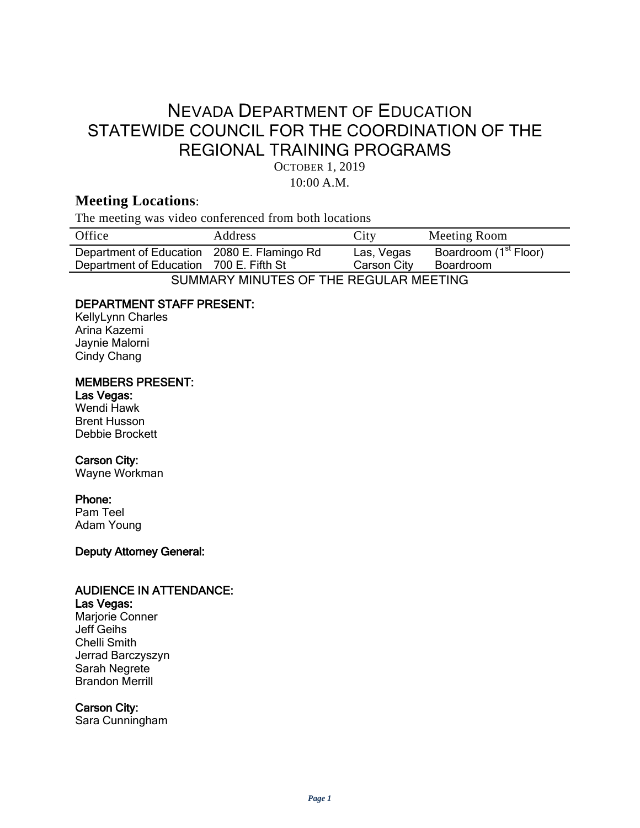# NEVADA DEPARTMENT OF EDUCATION STATEWIDE COUNCIL FOR THE COORDINATION OF THE REGIONAL TRAINING PROGRAMS

OCTOBER 1, 2019

10:00 A.M.

# **Meeting Locations**:

The meeting was video conferenced from both locations

| Office                                      | Address | City        | Meeting Room                      |
|---------------------------------------------|---------|-------------|-----------------------------------|
| Department of Education 2080 E. Flamingo Rd |         | Las, Vegas  | Boardroom (1 <sup>st</sup> Floor) |
| Department of Education 700 E. Fifth St     |         | Carson City | Boardroom                         |
| SUMMARY MINUTES OF THE REGULAR MEETING      |         |             |                                   |

## DEPARTMENT STAFF PRESENT:

KellyLynn Charles Arina Kazemi Jaynie Malorni Cindy Chang

#### MEMBERS PRESENT:

# Las Vegas: Wendi Hawk

Brent Husson Debbie Brockett

# Carson City:

Wayne Workman

#### Phone:

Pam Teel Adam Young

#### Deputy Attorney General:

## AUDIENCE IN ATTENDANCE:

## Las Vegas:

Marjorie Conner Jeff Geihs Chelli Smith Jerrad Barczyszyn Sarah Negrete Brandon Merrill

#### Carson City:

Sara Cunningham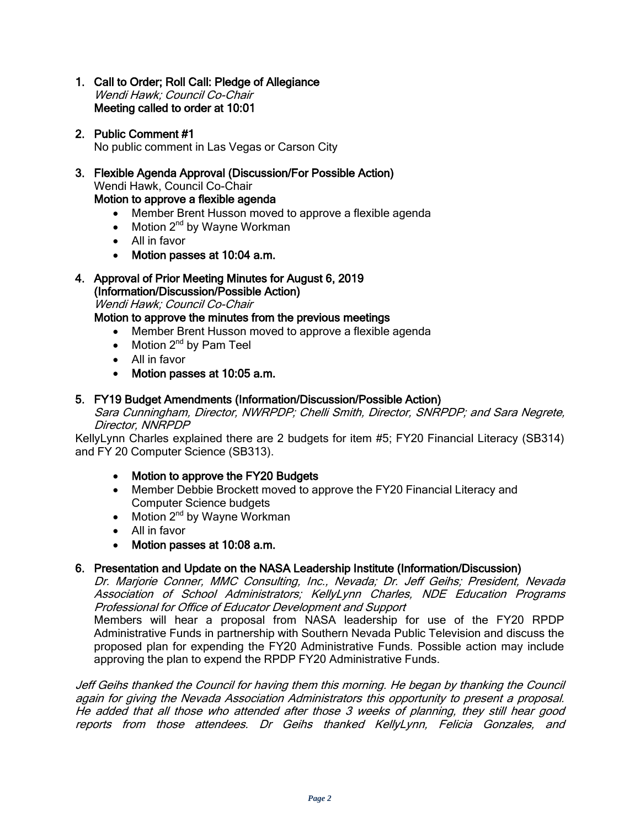- 1. Call to Order; Roll Call: Pledge of Allegiance Wendi Hawk; Council Co-Chair Meeting called to order at 10:01
- 2. Public Comment #1 No public comment in Las Vegas or Carson City
- 3. Flexible Agenda Approval (Discussion/For Possible Action) Wendi Hawk, Council Co-Chair Motion to approve a flexible agenda
	- Member Brent Husson moved to approve a flexible agenda
	- Motion  $2^{nd}$  by Wayne Workman
	- All in favor
	- Motion passes at 10:04 a.m.

# 4. Approval of Prior Meeting Minutes for August 6, 2019

(Information/Discussion/Possible Action)

Wendi Hawk; Council Co-Chair

Motion to approve the minutes from the previous meetings

- Member Brent Husson moved to approve a flexible agenda
- Motion  $2^{nd}$  by Pam Teel
- All in favor
- Motion passes at 10:05 a.m.

#### 5. FY19 Budget Amendments (Information/Discussion/Possible Action)

Sara Cunningham, Director, NWRPDP; Chelli Smith, Director, SNRPDP; and Sara Negrete, Director, NNRPDP

KellyLynn Charles explained there are 2 budgets for item #5; FY20 Financial Literacy (SB314) and FY 20 Computer Science (SB313).

- Motion to approve the FY20 Budgets
- Member Debbie Brockett moved to approve the FY20 Financial Literacy and Computer Science budgets
- Motion  $2^{nd}$  by Wayne Workman
- All in favor
- Motion passes at 10:08 a.m.

#### 6. Presentation and Update on the NASA Leadership Institute (Information/Discussion)

Dr. Marjorie Conner, MMC Consulting, Inc., Nevada; Dr. Jeff Geihs; President, Nevada Association of School Administrators; KellyLynn Charles, NDE Education Programs Professional for Office of Educator Development and Support

Members will hear a proposal from NASA leadership for use of the FY20 RPDP Administrative Funds in partnership with Southern Nevada Public Television and discuss the proposed plan for expending the FY20 Administrative Funds. Possible action may include approving the plan to expend the RPDP FY20 Administrative Funds.

Jeff Geihs thanked the Council for having them this morning. He began by thanking the Council again for giving the Nevada Association Administrators this opportunity to present a proposal. He added that all those who attended after those 3 weeks of planning, they still hear good reports from those attendees. Dr Geihs thanked KellyLynn, Felicia Gonzales, and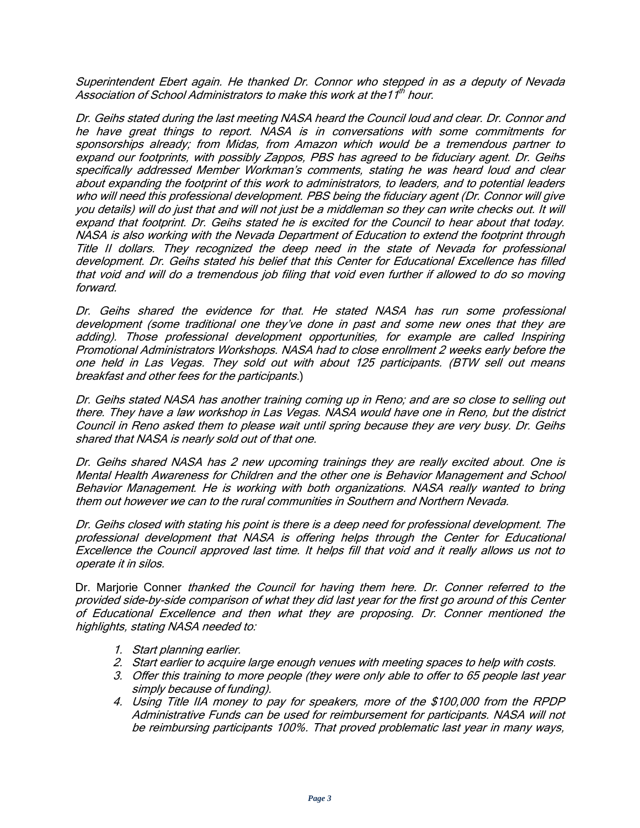Superintendent Ebert again. He thanked Dr. Connor who stepped in as a deputy of Nevada Association of School Administrators to make this work at the11th hour.

Dr. Geihs stated during the last meeting NASA heard the Council loud and clear. Dr. Connor and he have great things to report. NASA is in conversations with some commitments for sponsorships already; from Midas, from Amazon which would be a tremendous partner to expand our footprints, with possibly Zappos, PBS has agreed to be fiduciary agent. Dr. Geihs specifically addressed Member Workman's comments, stating he was heard loud and clear about expanding the footprint of this work to administrators, to leaders, and to potential leaders who will need this professional development. PBS being the fiduciary agent (Dr. Connor will give you details) will do just that and will not just be a middleman so they can write checks out. It will expand that footprint. Dr. Geihs stated he is excited for the Council to hear about that today. NASA is also working with the Nevada Department of Education to extend the footprint through Title II dollars. They recognized the deep need in the state of Nevada for professional development. Dr. Geihs stated his belief that this Center for Educational Excellence has filled that void and will do a tremendous job filing that void even further if allowed to do so moving forward.

Dr. Geihs shared the evidence for that. He stated NASA has run some professional development (some traditional one they've done in past and some new ones that they are adding). Those professional development opportunities, for example are called Inspiring Promotional Administrators Workshops. NASA had to close enrollment 2 weeks early before the one held in Las Vegas. They sold out with about 125 participants. (BTW sell out means breakfast and other fees for the participants.)

Dr. Geihs stated NASA has another training coming up in Reno; and are so close to selling out there. They have a law workshop in Las Vegas. NASA would have one in Reno, but the district Council in Reno asked them to please wait until spring because they are very busy. Dr. Geihs shared that NASA is nearly sold out of that one.

Dr. Geihs shared NASA has 2 new upcoming trainings they are really excited about. One is Mental Health Awareness for Children and the other one is Behavior Management and School Behavior Management. He is working with both organizations. NASA really wanted to bring them out however we can to the rural communities in Southern and Northern Nevada.

Dr. Geihs closed with stating his point is there is a deep need for professional development. The professional development that NASA is offering helps through the Center for Educational Excellence the Council approved last time. It helps fill that void and it really allows us not to operate it in silos.

Dr. Marjorie Conner thanked the Council for having them here. Dr. Conner referred to the provided side-by-side comparison of what they did last year for the first go around of this Center of Educational Excellence and then what they are proposing. Dr. Conner mentioned the highlights, stating NASA needed to:

- 1. Start planning earlier.
- 2. Start earlier to acquire large enough venues with meeting spaces to help with costs.
- 3. Offer this training to more people (they were only able to offer to 65 people last year simply because of funding).
- 4. Using Title IIA money to pay for speakers, more of the \$100,000 from the RPDP Administrative Funds can be used for reimbursement for participants. NASA will not be reimbursing participants 100%. That proved problematic last year in many ways,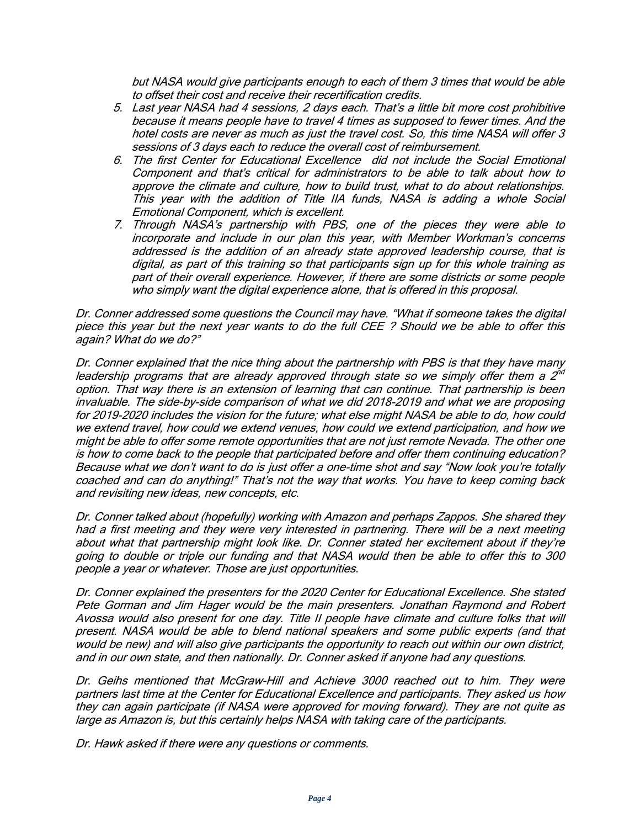but NASA would give participants enough to each of them 3 times that would be able to offset their cost and receive their recertification credits.

- 5. Last year NASA had 4 sessions, 2 days each. That's a little bit more cost prohibitive because it means people have to travel 4 times as supposed to fewer times. And the hotel costs are never as much as just the travel cost. So, this time NASA will offer 3 sessions of 3 days each to reduce the overall cost of reimbursement.
- 6. The first Center for Educational Excellence did not include the Social Emotional Component and that's critical for administrators to be able to talk about how to approve the climate and culture, how to build trust, what to do about relationships. This year with the addition of Title IIA funds, NASA is adding a whole Social Emotional Component, which is excellent.
- 7. Through NASA's partnership with PBS, one of the pieces they were able to incorporate and include in our plan this year, with Member Workman's concerns addressed is the addition of an already state approved leadership course, that is digital, as part of this training so that participants sign up for this whole training as part of their overall experience. However, if there are some districts or some people who simply want the digital experience alone, that is offered in this proposal.

Dr. Conner addressed some questions the Council may have. "What if someone takes the digital piece this year but the next year wants to do the full CEE ? Should we be able to offer this again? What do we do?"

Dr. Conner explained that the nice thing about the partnership with PBS is that they have many leadership programs that are already approved through state so we simply offer them a  $2^{\gamma d}$ option. That way there is an extension of learning that can continue. That partnership is been invaluable. The side-by-side comparison of what we did 2018-2019 and what we are proposing for 2019-2020 includes the vision for the future; what else might NASA be able to do, how could we extend travel, how could we extend venues, how could we extend participation, and how we might be able to offer some remote opportunities that are not just remote Nevada. The other one is how to come back to the people that participated before and offer them continuing education? Because what we don't want to do is just offer a one-time shot and say "Now look you're totally coached and can do anything!" That's not the way that works. You have to keep coming back and revisiting new ideas, new concepts, etc.

Dr. Conner talked about (hopefully) working with Amazon and perhaps Zappos. She shared they had a first meeting and they were very interested in partnering. There will be a next meeting about what that partnership might look like. Dr. Conner stated her excitement about if they're going to double or triple our funding and that NASA would then be able to offer this to 300 people a year or whatever. Those are just opportunities.

Dr. Conner explained the presenters for the 2020 Center for Educational Excellence. She stated Pete Gorman and Jim Hager would be the main presenters. Jonathan Raymond and Robert Avossa would also present for one day. Title II people have climate and culture folks that will present. NASA would be able to blend national speakers and some public experts (and that would be new) and will also give participants the opportunity to reach out within our own district, and in our own state, and then nationally. Dr. Conner asked if anyone had any questions.

Dr. Geihs mentioned that McGraw-Hill and Achieve 3000 reached out to him. They were partners last time at the Center for Educational Excellence and participants. They asked us how they can again participate (if NASA were approved for moving forward). They are not quite as large as Amazon is, but this certainly helps NASA with taking care of the participants.

Dr. Hawk asked if there were any questions or comments.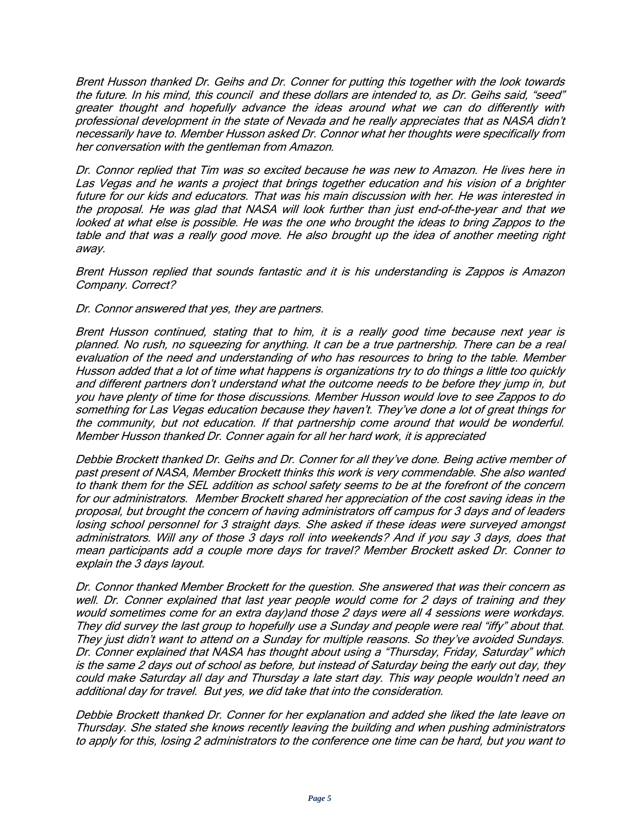Brent Husson thanked Dr. Geihs and Dr. Conner for putting this together with the look towards the future. In his mind, this council and these dollars are intended to, as Dr. Geihs said, "seed" greater thought and hopefully advance the ideas around what we can do differently with professional development in the state of Nevada and he really appreciates that as NASA didn't necessarily have to. Member Husson asked Dr. Connor what her thoughts were specifically from her conversation with the gentleman from Amazon.

Dr. Connor replied that Tim was so excited because he was new to Amazon. He lives here in Las Vegas and he wants a project that brings together education and his vision of a brighter future for our kids and educators. That was his main discussion with her. He was interested in the proposal. He was glad that NASA will look further than just end-of-the-year and that we looked at what else is possible. He was the one who brought the ideas to bring Zappos to the table and that was a really good move. He also brought up the idea of another meeting right away.

Brent Husson replied that sounds fantastic and it is his understanding is Zappos is Amazon Company. Correct?

Dr. Connor answered that yes, they are partners.

Brent Husson continued, stating that to him, it is a really good time because next year is planned. No rush, no squeezing for anything. It can be a true partnership. There can be a real evaluation of the need and understanding of who has resources to bring to the table. Member Husson added that a lot of time what happens is organizations try to do things a little too quickly and different partners don't understand what the outcome needs to be before they jump in, but you have plenty of time for those discussions. Member Husson would love to see Zappos to do something for Las Vegas education because they haven't. They've done a lot of great things for the community, but not education. If that partnership come around that would be wonderful. Member Husson thanked Dr. Conner again for all her hard work, it is appreciated

Debbie Brockett thanked Dr. Geihs and Dr. Conner for all they've done. Being active member of past present of NASA, Member Brockett thinks this work is very commendable. She also wanted to thank them for the SEL addition as school safety seems to be at the forefront of the concern for our administrators. Member Brockett shared her appreciation of the cost saving ideas in the proposal, but brought the concern of having administrators off campus for 3 days and of leaders losing school personnel for 3 straight days. She asked if these ideas were surveyed amongst administrators. Will any of those 3 days roll into weekends? And if you say 3 days, does that mean participants add a couple more days for travel? Member Brockett asked Dr. Conner to explain the 3 days layout.

Dr. Connor thanked Member Brockett for the question. She answered that was their concern as well. Dr. Conner explained that last year people would come for 2 days of training and they would sometimes come for an extra day)and those 2 days were all 4 sessions were workdays. They did survey the last group to hopefully use a Sunday and people were real "iffy" about that. They just didn't want to attend on a Sunday for multiple reasons. So they've avoided Sundays. Dr. Conner explained that NASA has thought about using a "Thursday, Friday, Saturday" which is the same 2 days out of school as before, but instead of Saturday being the early out day, they could make Saturday all day and Thursday a late start day. This way people wouldn't need an additional day for travel. But yes, we did take that into the consideration.

Debbie Brockett thanked Dr. Conner for her explanation and added she liked the late leave on Thursday. She stated she knows recently leaving the building and when pushing administrators to apply for this, losing 2 administrators to the conference one time can be hard, but you want to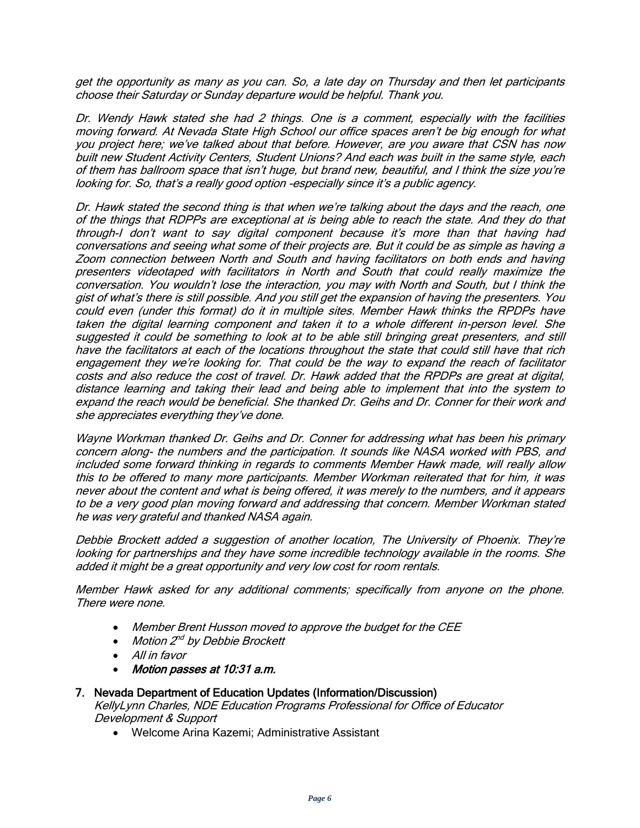get the opportunity as many as you can. So, a late day on Thursday and then let participants choose their Saturday or Sunday departure would be helpful. Thank you.

Dr. Wendy Hawk stated she had 2 things. One is a comment, especially with the facilities moving forward. At Nevada State High School our office spaces aren't be big enough for what you project here; we've talked about that before. However, are you aware that CSN has now built new Student Activity Centers, Student Unions? And each was built in the same style, each of them has ballroom space that isn't huge, but brand new, beautiful, and I think the size you're looking for. So, that's a really good option -especially since it's a public agency.

Dr. Hawk stated the second thing is that when we're talking about the days and the reach, one of the things that RDPPs are exceptional at is being able to reach the state. And they do that through-I don't want to say digital component because it's more than that having had conversations and seeing what some of their projects are. But it could be as simple as having a Zoom connection between North and South and having facilitators on both ends and having presenters videotaped with facilitators in North and South that could really maximize the conversation. You wouldn't lose the interaction, you may with North and South, but I think the gist of what's there is still possible. And you still get the expansion of having the presenters. You could even (under this format) do it in multiple sites. Member Hawk thinks the RPDPs have taken the digital learning component and taken it to a whole different in-person level. She suggested it could be something to look at to be able still bringing great presenters, and still have the facilitators at each of the locations throughout the state that could still have that rich engagement they we're looking for. That could be the way to expand the reach of facilitator costs and also reduce the cost of travel. Dr. Hawk added that the RPDPs are great at digital, distance learning and taking their lead and being able to implement that into the system to expand the reach would be beneficial. She thanked Dr. Geihs and Dr. Conner for their work and she appreciates everything they've done.

Wayne Workman thanked Dr. Geihs and Dr. Conner for addressing what has been his primary concern along- the numbers and the participation. It sounds like NASA worked with PBS, and included some forward thinking in regards to comments Member Hawk made, will really allow this to be offered to many more participants. Member Workman reiterated that for him, it was never about the content and what is being offered, it was merely to the numbers, and it appears to be a very good plan moving forward and addressing that concern. Member Workman stated he was very grateful and thanked NASA again.

Debbie Brockett added a suggestion of another location, The University of Phoenix. They're looking for partnerships and they have some incredible technology available in the rooms. She added it might be a great opportunity and very low cost for room rentals.

Member Hawk asked for any additional comments; specifically from anyone on the phone. There were none.

- Member Brent Husson moved to approve the budget for the CEE
- Motion 2<sup>nd</sup> by Debbie Brockett
- All in favor
- Motion passes at 10:31 a.m.

#### 7. Nevada Department of Education Updates (Information/Discussion)

KellyLynn Charles, NDE Education Programs Professional for Office of Educator Development & Support

• Welcome Arina Kazemi; Administrative Assistant